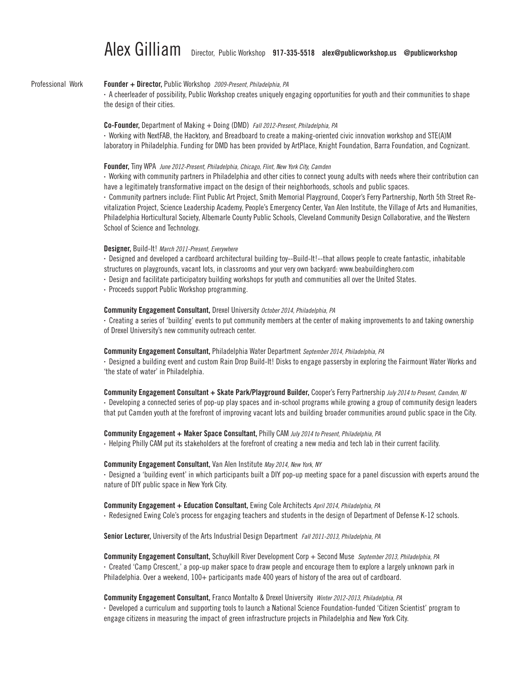#### Founder + Director, Public Workshop *2009-Present, Philadelphia, PA* Professional Work

• A cheerleader of possibility, Public Workshop creates uniquely engaging opportunities for youth and their communities to shape the design of their cities.

#### Co-Founder, Department of Making + Doing (DMD) *Fall 2012-Present, Philadelphia, PA*

• Working with NextFAB, the Hacktory, and Breadboard to create a making-oriented civic innovation workshop and STE(A)M laboratory in Philadelphia. Funding for DMD has been provided by ArtPlace, Knight Foundation, Barra Foundation, and Cognizant.

#### Founder, Tiny WPA *June 2012-Present, Philadelphia, Chicago, Flint, New York City, Camden*

• Working with community partners in Philadelphia and other cities to connect young adults with needs where their contribution can have a legitimately transformative impact on the design of their neighborhoods, schools and public spaces.

• Community partners include: Flint Public Art Project, Smith Memorial Playground, Cooper's Ferry Partnership, North 5th Street Revitalization Project, Science Leadership Academy, People's Emergency Center, Van Alen Institute, the Village of Arts and Humanities, Philadelphia Horticultural Society, Albemarle County Public Schools, Cleveland Community Design Collaborative, and the Western School of Science and Technology.

#### Designer, Build-It! *March 2011-Present, Everywhere*

• Designed and developed a cardboard architectural building toy--Build-It!--that allows people to create fantastic, inhabitable structures on playgrounds, vacant lots, in classrooms and your very own backyard: www.beabuildinghero.com

- • Design and facilitate participatory building workshops for youth and communities all over the United States.
- Proceeds support Public Workshop programming.

#### Community Engagement Consultant, Drexel University *October 2014, Philadelphia, PA*

• Creating a series of 'building' events to put community members at the center of making improvements to and taking ownership of Drexel University's new community outreach center.

#### Community Engagement Consultant, Philadelphia Water Department *September 2014, Philadelphia, PA*

• Designed a building event and custom Rain Drop Build-It! Disks to engage passersby in exploring the Fairmount Water Works and 'the state of water' in Philadelphia.

#### Community Engagement Consultant + Skate Park/Playground Builder, Cooper's Ferry Partnership *July 2014 to Present, Camden, NJ*

• Developing a connected series of pop-up play spaces and in-school programs while growing a group of community design leaders that put Camden youth at the forefront of improving vacant lots and building broader communities around public space in the City.

#### Community Engagement + Maker Space Consultant, Philly CAM *July 2014 to Present, Philadelphia, PA*

• Helping Philly CAM put its stakeholders at the forefront of creating a new media and tech lab in their current facility.

#### Community Engagement Consultant, Van Alen Institute *May 2014, New York, NY*

• Designed a 'building event' in which participants built a DIY pop-up meeting space for a panel discussion with experts around the nature of DIY public space in New York City.

#### Community Engagement + Education Consultant, Ewing Cole Architects *April 2014, Philadelphia, PA*

• Redesigned Ewing Cole's process for engaging teachers and students in the design of Department of Defense K-12 schools.

Senior Lecturer, University of the Arts Industrial Design Department *Fall 2011-2013, Philadelphia, PA*

Community Engagement Consultant, Schuylkill River Development Corp + Second Muse *September 2013, Philadelphia, PA* • Created 'Camp Crescent,' a pop-up maker space to draw people and encourage them to explore a largely unknown park in Philadelphia. Over a weekend, 100+ participants made 400 years of history of the area out of cardboard.

#### Community Engagement Consultant, Franco Montalto & Drexel University *Winter 2012-2013, Philadelphia, PA*

• Developed a curriculum and supporting tools to launch a National Science Foundation-funded 'Citizen Scientist' program to engage citizens in measuring the impact of green infrastructure projects in Philadelphia and New York City.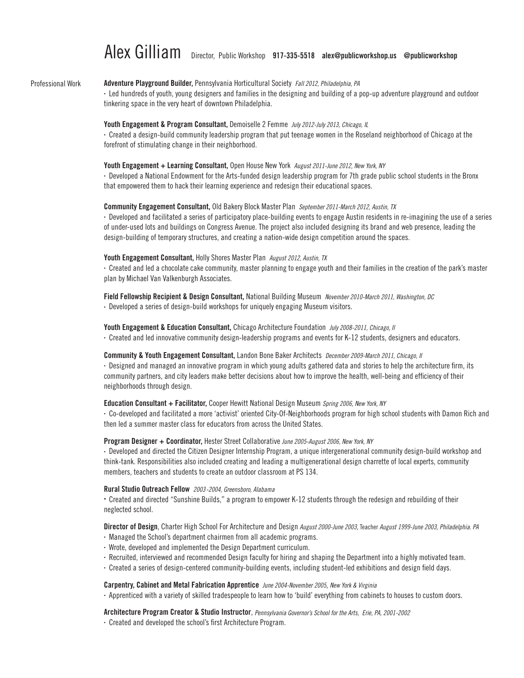#### Professional Work

#### Adventure Playground Builder, Pennsylvania Horticultural Society *Fall 2012, Philadelphia, PA*

• Led hundreds of youth, young designers and families in the designing and building of a pop-up adventure playground and outdoor tinkering space in the very heart of downtown Philadelphia.

#### Youth Engagement & Program Consultant, Demoiselle 2 Femme *July 2012-July 2013, Chicago, IL*

• Created a design-build community leadership program that put teenage women in the Roseland neighborhood of Chicago at the forefront of stimulating change in their neighborhood.

#### Youth Engagement + Learning Consultant, Open House New York *August 2011-June 2012, New York, NY*

• Developed a National Endowment for the Arts-funded design leadership program for 7th grade public school students in the Bronx that empowered them to hack their learning experience and redesign their educational spaces.

#### Community Engagement Consultant, Old Bakery Block Master Plan *September 2011-March 2012, Austin, TX*

• Developed and facilitated a series of participatory place-building events to engage Austin residents in re-imagining the use of a series of under-used lots and buildings on Congress Avenue. The project also included designing its brand and web presence, leading the design-building of temporary structures, and creating a nation-wide design competition around the spaces.

#### Youth Engagement Consultant, Holly Shores Master Plan *August 2012, Austin, TX*

• Created and led a chocolate cake community, master planning to engage youth and their families in the creation of the park's master plan by Michael Van Valkenburgh Associates.

Field Fellowship Recipient & Design Consultant, National Building Museum *November 2010-March 2011, Washington, DC*

• Developed a series of design-build workshops for uniquely engaging Museum visitors.

#### Youth Engagement & Education Consultant, Chicago Architecture Foundation *July 2008-2011, Chicago, Il*

• Created and led innovative community design-leadership programs and events for K-12 students, designers and educators.

#### Community & Youth Engagement Consultant, Landon Bone Baker Architects *December 2009-March 2011, Chicago, Il*

• Designed and managed an innovative program in which young adults gathered data and stories to help the architecture firm, its community partners, and city leaders make better decisions about how to improve the health, well-being and efficiency of their neighborhoods through design.

#### Education Consultant + Facilitator, Cooper Hewitt National Design Museum *Spring 2006, New York, NY*

• Co-developed and facilitated a more 'activist' oriented City-Of-Neighborhoods program for high school students with Damon Rich and then led a summer master class for educators from across the United States.

#### Program Designer + Coordinator, Hester Street Collaborative *June 2005-August 2006, New York, NY*

• Developed and directed the Citizen Designer Internship Program, a unique intergenerational community design-build workshop and think-tank. Responsibilities also included creating and leading a multigenerational design charrette of local experts, community members, teachers and students to create an outdoor classroom at PS 134.

### Rural Studio Outreach Fellow *2003-2004, Greensboro, Alabama*

• Created and directed "Sunshine Builds," a program to empower K-12 students through the redesign and rebuilding of their neglected school.

Director of Design, Charter High School For Architecture and Design *August 2000-June 2003,* Teacher *August 1999-June 2003, Philadelphia. PA* 

- Managed the School's department chairmen from all academic programs.
- Wrote, developed and implemented the Design Department curriculum.
- Recruited, interviewed and recommended Design faculty for hiring and shaping the Department into a highly motivated team.
- Created a series of design-centered community-building events, including student-led exhibitions and design field days.

#### Carpentry, Cabinet and Metal Fabrication Apprentice *June 2004-November 2005*, *New York & Virginia*

• Apprenticed with a variety of skilled tradespeople to learn how to 'build' everything from cabinets to houses to custom doors.

#### Architecture Program Creator & Studio Instructor, *Pennsylvania Governor's School for the Arts, Erie, PA, 2001-2002*

• Created and developed the school's first Architecture Program.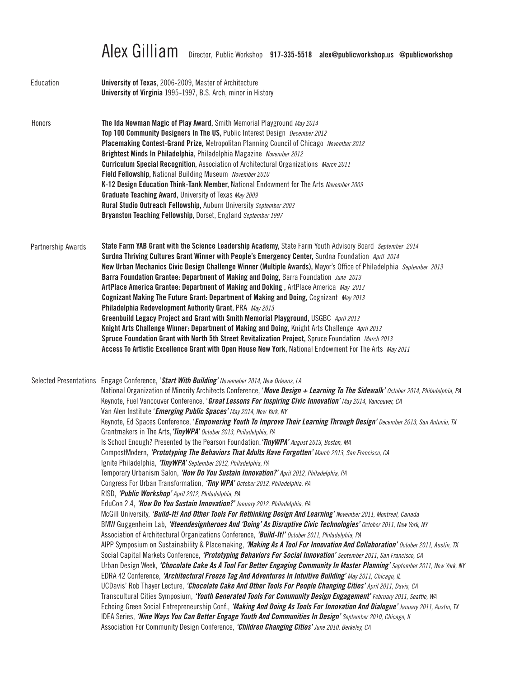| Education          | <b>University of Texas, 2006-2009, Master of Architecture</b><br>University of Virginia 1995-1997, B.S. Arch, minor in History                                                                                                                                                                                                                                                                                                                                                                                                                                                                                                                                                                                                                                                                                                                                                                                                                                                                                                                                                                                                                                                                                                                                                                                                                                                                                                                                                                                                                                                                                                                                                                                                                                                                                                                                                                                                                                                                                                                                                                                                                                                                                                                                                                                                                                                                                                                                                                                                                                                                                                                             |
|--------------------|------------------------------------------------------------------------------------------------------------------------------------------------------------------------------------------------------------------------------------------------------------------------------------------------------------------------------------------------------------------------------------------------------------------------------------------------------------------------------------------------------------------------------------------------------------------------------------------------------------------------------------------------------------------------------------------------------------------------------------------------------------------------------------------------------------------------------------------------------------------------------------------------------------------------------------------------------------------------------------------------------------------------------------------------------------------------------------------------------------------------------------------------------------------------------------------------------------------------------------------------------------------------------------------------------------------------------------------------------------------------------------------------------------------------------------------------------------------------------------------------------------------------------------------------------------------------------------------------------------------------------------------------------------------------------------------------------------------------------------------------------------------------------------------------------------------------------------------------------------------------------------------------------------------------------------------------------------------------------------------------------------------------------------------------------------------------------------------------------------------------------------------------------------------------------------------------------------------------------------------------------------------------------------------------------------------------------------------------------------------------------------------------------------------------------------------------------------------------------------------------------------------------------------------------------------------------------------------------------------------------------------------------------------|
| Honors             | The Ida Newman Magic of Play Award, Smith Memorial Playground May 2014<br>Top 100 Community Designers In The US, Public Interest Design December 2012<br>Placemaking Contest-Grand Prize, Metropolitan Planning Council of Chicago November 2012<br>Brightest Minds In Philadelphia, Philadelphia Magazine November 2012<br><b>Curriculum Special Recognition, Association of Architectural Organizations</b> March 2011<br>Field Fellowship, National Building Museum November 2010<br>K-12 Design Education Think-Tank Member, National Endowment for The Arts November 2009<br>Graduate Teaching Award, University of Texas May 2009<br>Rural Studio Outreach Fellowship, Auburn University September 2003<br>Bryanston Teaching Fellowship, Dorset, England September 1997                                                                                                                                                                                                                                                                                                                                                                                                                                                                                                                                                                                                                                                                                                                                                                                                                                                                                                                                                                                                                                                                                                                                                                                                                                                                                                                                                                                                                                                                                                                                                                                                                                                                                                                                                                                                                                                                             |
| Partnership Awards | State Farm YAB Grant with the Science Leadership Academy, State Farm Youth Advisory Board September 2014<br>Surdna Thriving Cultures Grant Winner with People's Emergency Center, Surdna Foundation April 2014<br>New Urban Mechanics Civic Design Challenge Winner (Multiple Awards), Mayor's Office of Philadelphia September 2013<br>Barra Foundation Grantee: Department of Making and Doing, Barra Foundation June 2013<br>ArtPlace America Grantee: Department of Making and Doking, ArtPlace America May 2013<br>Cognizant Making The Future Grant: Department of Making and Doing, Cognizant May 2013<br>Philadelphia Redevelopment Authority Grant, PRA May 2013<br>Greenbuild Legacy Project and Grant with Smith Memorial Playground, USGBC April 2013<br>Knight Arts Challenge Winner: Department of Making and Doing, Knight Arts Challenge April 2013<br>Spruce Foundation Grant with North 5th Street Revitalization Project, Spruce Foundation March 2013<br>Access To Artistic Excellence Grant with Open House New York, National Endowment For The Arts May 2011                                                                                                                                                                                                                                                                                                                                                                                                                                                                                                                                                                                                                                                                                                                                                                                                                                                                                                                                                                                                                                                                                                                                                                                                                                                                                                                                                                                                                                                                                                                                                                        |
|                    | Selected Presentations Engage Conference, 'Start With Building' Novemeber 2014, New Orleans, LA<br>National Organization of Minority Architects Conference, 'Move Design + Learning To The Sidewalk' October 2014, Philadelphia, PA<br>Keynote, Fuel Vancouver Conference, 'Great Lessons For Inspiring Civic Innovation' May 2014, Vancouver, CA<br>Van Alen Institute 'Emerging Public Spaces' May 2014, New York, NY<br>Keynote, Ed Spaces Conference, 'Empowering Youth To Improve Their Learning Through Design' December 2013, San Antonio, TX<br>Grantmakers in The Arts, 'TinyWPA' October 2013, Philadelphia, PA<br>Is School Enough? Presented by the Pearson Foundation, 'TinyWPA' August 2013, Boston, MA<br>CompostModern, 'Prototyping The Behaviors That Adults Have Forgotten' March 2013, San Francisco, CA<br>Ignite Philadelphia, 'TinyWPA' September 2012, Philadelphia, PA<br>Temporary Urbanism Salon, 'How Do You Sustain Innovation?' April 2012, Philadelphia, PA<br>Congress For Urban Transformation, 'Tiny WPA' October 2012, Philadelphia, PA<br>RISD, 'Public Workshop' April 2012, Philadelphia, PA<br>EduCon 2.4, 'How Do You Sustain Innovation?' January 2012, Philadelphia, PA<br>McGill University, 'Build-It! And Other Tools For Rethinking Design And Learning' November 2011, Montreal, Canada<br>BMW Guggenheim Lab, '#teendesignheroes And 'Doing' As Disruptive Civic Technologies' October 2011, New York, NY<br>Association of Architectural Organizations Conference, 'Build-It!' October 2011, Philadelphia, PA<br>AIPP Symposium on Sustainability & Placemaking, 'Making As A Tool For Innovation And Collaboration' October 2011, Austin, TX<br>Social Capital Markets Conference, 'Prototyping Behaviors For Social Innovation' September 2011, San Francisco, CA<br>Urban Design Week, 'Chocolate Cake As A Tool For Better Engaging Community In Master Planning' September 2011, New York, NY<br>EDRA 42 Conference, 'Architectural Freeze Tag And Adventures In Intuitive Building' May 2011, Chicago, IL<br>UCDavis' Rob Thayer Lecture, 'Chocolate Cake And Other Tools For People Changing Cities' April 2011, Davis, CA<br>Transcultural Cities Symposium, 'Youth Generated Tools For Community Design Engagement' February 2011, Seattle, WA<br>Echoing Green Social Entrepreneurship Conf., 'Making And Doing As Tools For Innovation And Dialogue' January 2011, Austin, TX<br>IDEA Series, 'Nine Ways You Can Better Engage Youth And Communities In Design' September 2010, Chicago, IL<br>Association For Community Design Conference, 'Children Changing Cities' June 2010, Berkeley, CA |